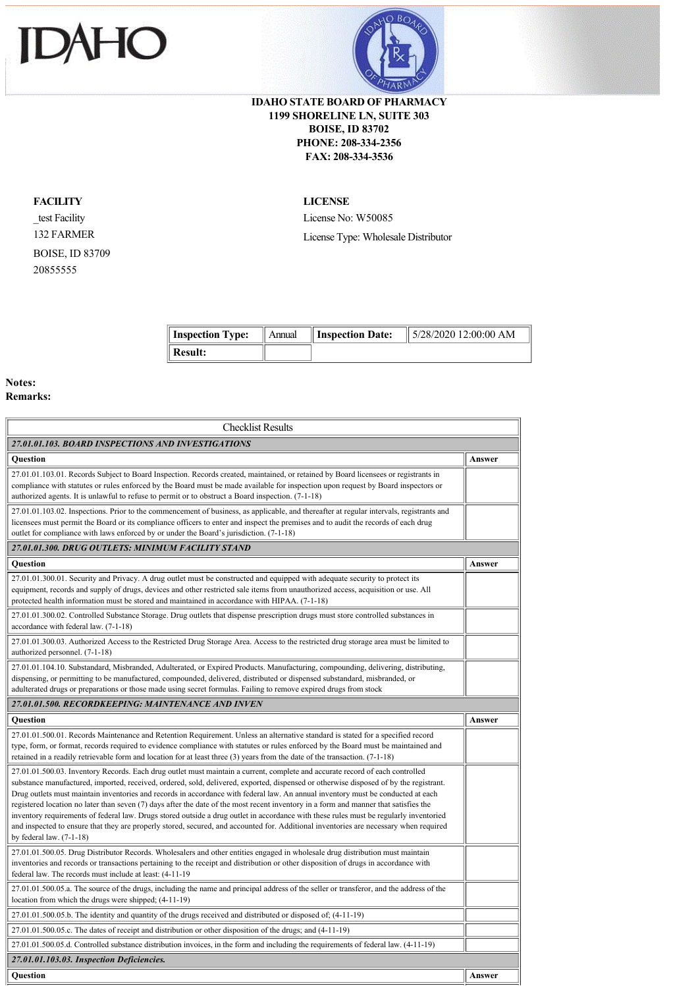



## **IDAHO STATE BOARD OF PHARMACY 1199 SHORELINE LN, SUITE 303 BOISE, ID 83702 PHONE: 208-334-2356 FAX: 208-334-3536**

## **FACILITY**

\_test Facility 132 FARMER BOISE, ID 83709 20855555

## **LICENSE**

License No: W50085 License Type: Wholesale Distributor

| Inspection Type:    | Annual | <b>I</b> Inspection Date: | $\parallel$ 5/28/2020 12:00:00 AM |
|---------------------|--------|---------------------------|-----------------------------------|
| $\parallel$ Result: |        |                           |                                   |

## **Notes: Remarks:**

| <b>Checklist Results</b>                                                                                                                                                                                                                                                                                                                                                                                                                                                                                                                                                                                                                                                                                                                                                                                                                                            |        |  |  |  |
|---------------------------------------------------------------------------------------------------------------------------------------------------------------------------------------------------------------------------------------------------------------------------------------------------------------------------------------------------------------------------------------------------------------------------------------------------------------------------------------------------------------------------------------------------------------------------------------------------------------------------------------------------------------------------------------------------------------------------------------------------------------------------------------------------------------------------------------------------------------------|--------|--|--|--|
| 27.01.01.103. BOARD INSPECTIONS AND INVESTIGATIONS                                                                                                                                                                                                                                                                                                                                                                                                                                                                                                                                                                                                                                                                                                                                                                                                                  |        |  |  |  |
| <b>Ouestion</b>                                                                                                                                                                                                                                                                                                                                                                                                                                                                                                                                                                                                                                                                                                                                                                                                                                                     | Answer |  |  |  |
| 27.01.01.103.01. Records Subject to Board Inspection. Records created, maintained, or retained by Board licensees or registrants in<br>compliance with statutes or rules enforced by the Board must be made available for inspection upon request by Board inspectors or<br>authorized agents. It is unlawful to refuse to permit or to obstruct a Board inspection. (7-1-18)                                                                                                                                                                                                                                                                                                                                                                                                                                                                                       |        |  |  |  |
| 27.01.01.103.02. Inspections. Prior to the commencement of business, as applicable, and thereafter at regular intervals, registrants and<br>licensees must permit the Board or its compliance officers to enter and inspect the premises and to audit the records of each drug<br>outlet for compliance with laws enforced by or under the Board's jurisdiction. (7-1-18)                                                                                                                                                                                                                                                                                                                                                                                                                                                                                           |        |  |  |  |
| 27.01.01.300. DRUG OUTLETS: MINIMUM FACILITY STAND                                                                                                                                                                                                                                                                                                                                                                                                                                                                                                                                                                                                                                                                                                                                                                                                                  |        |  |  |  |
| <b>Ouestion</b>                                                                                                                                                                                                                                                                                                                                                                                                                                                                                                                                                                                                                                                                                                                                                                                                                                                     | Answer |  |  |  |
| 27.01.01.300.01. Security and Privacy. A drug outlet must be constructed and equipped with adequate security to protect its<br>equipment, records and supply of drugs, devices and other restricted sale items from unauthorized access, acquisition or use. All<br>protected health information must be stored and maintained in accordance with HIPAA. (7-1-18)                                                                                                                                                                                                                                                                                                                                                                                                                                                                                                   |        |  |  |  |
| 27.01.01.300.02. Controlled Substance Storage. Drug outlets that dispense prescription drugs must store controlled substances in<br>accordance with federal law. (7-1-18)                                                                                                                                                                                                                                                                                                                                                                                                                                                                                                                                                                                                                                                                                           |        |  |  |  |
| 27.01.01.300.03. Authorized Access to the Restricted Drug Storage Area. Access to the restricted drug storage area must be limited to<br>authorized personnel. (7-1-18)                                                                                                                                                                                                                                                                                                                                                                                                                                                                                                                                                                                                                                                                                             |        |  |  |  |
| 27.01.01.104.10. Substandard, Misbranded, Adulterated, or Expired Products. Manufacturing, compounding, delivering, distributing,<br>dispensing, or permitting to be manufactured, compounded, delivered, distributed or dispensed substandard, misbranded, or<br>adulterated drugs or preparations or those made using secret formulas. Failing to remove expired drugs from stock                                                                                                                                                                                                                                                                                                                                                                                                                                                                                 |        |  |  |  |
| 27.01.01.500. RECORDKEEPING: MAINTENANCE AND INVEN                                                                                                                                                                                                                                                                                                                                                                                                                                                                                                                                                                                                                                                                                                                                                                                                                  |        |  |  |  |
|                                                                                                                                                                                                                                                                                                                                                                                                                                                                                                                                                                                                                                                                                                                                                                                                                                                                     |        |  |  |  |
| <b>Ouestion</b>                                                                                                                                                                                                                                                                                                                                                                                                                                                                                                                                                                                                                                                                                                                                                                                                                                                     | Answer |  |  |  |
| 27.01.01.500.01. Records Maintenance and Retention Requirement. Unless an alternative standard is stated for a specified record<br>type, form, or format, records required to evidence compliance with statutes or rules enforced by the Board must be maintained and<br>retained in a readily retrievable form and location for at least three $(3)$ years from the date of the transaction. $(7-1-18)$                                                                                                                                                                                                                                                                                                                                                                                                                                                            |        |  |  |  |
| 27.01.01.500.03. Inventory Records. Each drug outlet must maintain a current, complete and accurate record of each controlled<br>substance manufactured, imported, received, ordered, sold, delivered, exported, dispensed or otherwise disposed of by the registrant.<br>Drug outlets must maintain inventories and records in accordance with federal law. An annual inventory must be conducted at each<br>registered location no later than seven (7) days after the date of the most recent inventory in a form and manner that satisfies the<br>inventory requirements of federal law. Drugs stored outside a drug outlet in accordance with these rules must be regularly inventoried<br>and inspected to ensure that they are properly stored, secured, and accounted for. Additional inventories are necessary when required<br>by federal law. $(7-1-18)$ |        |  |  |  |
| 27.01.01.500.05. Drug Distributor Records. Wholesalers and other entities engaged in wholesale drug distribution must maintain<br>inventories and records or transactions pertaining to the receipt and distribution or other disposition of drugs in accordance with<br>federal law. The records must include at least: (4-11-19)                                                                                                                                                                                                                                                                                                                                                                                                                                                                                                                                  |        |  |  |  |
| 27.01.01.500.05.a. The source of the drugs, including the name and principal address of the seller or transferor, and the address of the<br>location from which the drugs were shipped; (4-11-19)                                                                                                                                                                                                                                                                                                                                                                                                                                                                                                                                                                                                                                                                   |        |  |  |  |
| 27.01.01.500.05.b. The identity and quantity of the drugs received and distributed or disposed of; (4-11-19)                                                                                                                                                                                                                                                                                                                                                                                                                                                                                                                                                                                                                                                                                                                                                        |        |  |  |  |
| 27.01.01.500.05.c. The dates of receipt and distribution or other disposition of the drugs; and (4-11-19)                                                                                                                                                                                                                                                                                                                                                                                                                                                                                                                                                                                                                                                                                                                                                           |        |  |  |  |
| 27.01.01.500.05.d. Controlled substance distribution invoices, in the form and including the requirements of federal law. (4-11-19)                                                                                                                                                                                                                                                                                                                                                                                                                                                                                                                                                                                                                                                                                                                                 |        |  |  |  |
| 27.01.01.103.03. Inspection Deficiencies.                                                                                                                                                                                                                                                                                                                                                                                                                                                                                                                                                                                                                                                                                                                                                                                                                           |        |  |  |  |
| Question                                                                                                                                                                                                                                                                                                                                                                                                                                                                                                                                                                                                                                                                                                                                                                                                                                                            | Answer |  |  |  |